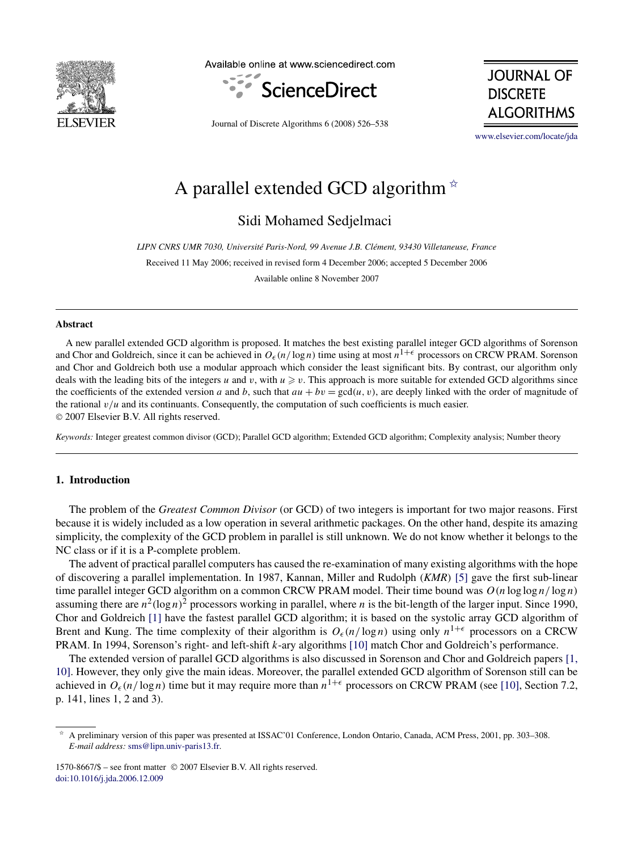

Available online at www.sciencedirect.com



**JOURNAL OF DISCRETE ALGORITHMS** 

Journal of Discrete Algorithms 6 (2008) 526–538

[www.elsevier.com/locate/jda](http://www.elsevier.com/locate/jda)

# A parallel extended GCD algorithm  $*$

Sidi Mohamed Sedjelmaci

*LIPN CNRS UMR 7030, Université Paris-Nord, 99 Avenue J.B. Clément, 93430 Villetaneuse, France* Received 11 May 2006; received in revised form 4 December 2006; accepted 5 December 2006 Available online 8 November 2007

#### **Abstract**

A new parallel extended GCD algorithm is proposed. It matches the best existing parallel integer GCD algorithms of Sorenson and Chor and Goldreich, since it can be achieved in  $O_\epsilon(n/\log n)$  time using at most  $n^{1+\epsilon}$  processors on CRCW PRAM. Sorenson and Chor and Goldreich both use a modular approach which consider the least significant bits. By contrast, our algorithm only deals with the leading bits of the integers *u* and *v*, with  $u \ge v$ . This approach is more suitable for extended GCD algorithms since the coefficients of the extended version *a* and *b*, such that  $au + bv = \gcd(u, v)$ , are deeply linked with the order of magnitude of the rational *v/u* and its continuants. Consequently, the computation of such coefficients is much easier. © 2007 Elsevier B.V. All rights reserved.

*Keywords:* Integer greatest common divisor (GCD); Parallel GCD algorithm; Extended GCD algorithm; Complexity analysis; Number theory

## **1. Introduction**

The problem of the *Greatest Common Divisor* (or GCD) of two integers is important for two major reasons. First because it is widely included as a low operation in several arithmetic packages. On the other hand, despite its amazing simplicity, the complexity of the GCD problem in parallel is still unknown. We do not know whether it belongs to the NC class or if it is a P-complete problem.

The advent of practical parallel computers has caused the re-examination of many existing algorithms with the hope of discovering a parallel implementation. In 1987, Kannan, Miller and Rudolph *(KMR)* [\[5\]](#page-12-0) gave the first sub-linear time parallel integer GCD algorithm on a common CRCW PRAM model. Their time bound was  $O(n \log \log n / \log n)$ assuming there are  $n^2(\log n)^2$  processors working in parallel, where *n* is the bit-length of the larger input. Since 1990, Chor and Goldreich [\[1\]](#page-12-0) have the fastest parallel GCD algorithm; it is based on the systolic array GCD algorithm of Brent and Kung. The time complexity of their algorithm is  $O_\epsilon(n/\log n)$  using only  $n^{1+\epsilon}$  processors on a CRCW PRAM. In 1994, Sorenson's right- and left-shift *k*-ary algorithms [\[10\]](#page-12-0) match Chor and Goldreich's performance.

The extended version of parallel GCD algorithms is also discussed in Sorenson and Chor and Goldreich papers [\[1,](#page-12-0) [10\].](#page-12-0) However, they only give the main ideas. Moreover, the parallel extended GCD algorithm of Sorenson still can be achieved in  $O_\epsilon(n/\log n)$  time but it may require more than  $n^{1+\epsilon}$  processors on CRCW PRAM (see [\[10\],](#page-12-0) Section 7.2, p. 141, lines 1, 2 and 3).

<sup>✩</sup> A preliminary version of this paper was presented at ISSAC'01 Conference, London Ontario, Canada, ACM Press, 2001, pp. 303–308. *E-mail address:* [sms@lipn.univ-paris13.fr](mailto:sms@lipn.univ-paris13.fr).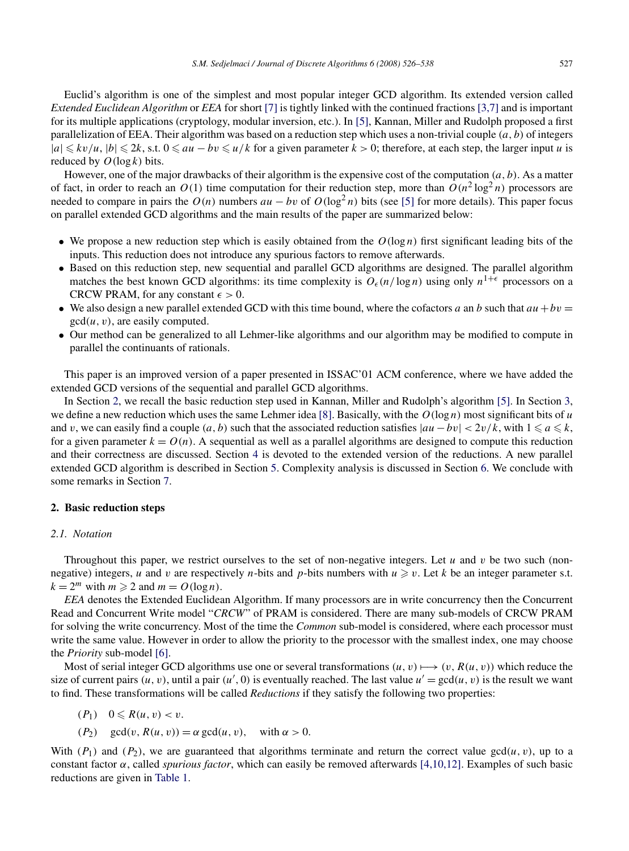<span id="page-1-0"></span>Euclid's algorithm is one of the simplest and most popular integer GCD algorithm. Its extended version called *Extended Euclidean Algorithm* or *EEA* for short [\[7\]](#page-12-0) is tightly linked with the continued fractions [\[3,7\]](#page-12-0) and is important for its multiple applications (cryptology, modular inversion, etc.). In [\[5\],](#page-12-0) Kannan, Miller and Rudolph proposed a first parallelization of EEA. Their algorithm was based on a reduction step which uses a non-trivial couple *(a, b)* of integers  $|a|$  ≤  $kv/u$ ,  $|b|$  ≤ 2*k*, s.t.  $0$  ≤  $au - bv$  ≤  $u/k$  for a given parameter  $k > 0$ ; therefore, at each step, the larger input *u* is reduced by  $O(\log k)$  bits.

However, one of the major drawbacks of their algorithm is the expensive cost of the computation *(a, b)*. As a matter of fact, in order to reach an  $O(1)$  time computation for their reduction step, more than  $O(n^2 \log^2 n)$  processors are needed to compare in pairs the  $O(n)$  numbers  $au - bv$  of  $O(log^2 n)$  bits (see [\[5\]](#page-12-0) for more details). This paper focus on parallel extended GCD algorithms and the main results of the paper are summarized below:

- We propose a new reduction step which is easily obtained from the  $O(\log n)$  first significant leading bits of the inputs. This reduction does not introduce any spurious factors to remove afterwards.
- Based on this reduction step, new sequential and parallel GCD algorithms are designed. The parallel algorithm matches the best known GCD algorithms: its time complexity is  $O_\epsilon(n/\log n)$  using only  $n^{1+\epsilon}$  processors on a CRCW PRAM, for any constant  $\epsilon > 0$ .
- We also design a new parallel extended GCD with this time bound, where the cofactors *a* an *b* such that  $au + bv =$ gcd*(u, v)*, are easily computed.
- Our method can be generalized to all Lehmer-like algorithms and our algorithm may be modified to compute in parallel the continuants of rationals.

This paper is an improved version of a paper presented in ISSAC'01 ACM conference, where we have added the extended GCD versions of the sequential and parallel GCD algorithms.

In Section 2, we recall the basic reduction step used in Kannan, Miller and Rudolph's algorithm [\[5\].](#page-12-0) In Section [3,](#page-2-0) we define a new reduction which uses the same Lehmer idea [\[8\].](#page-12-0) Basically, with the  $O(\log n)$  most significant bits of *u* and *v*, we can easily find a couple  $(a, b)$  such that the associated reduction satisfies  $|au - bv| < 2v/k$ , with  $1 \le a \le k$ , for a given parameter  $k = O(n)$ . A sequential as well as a parallel algorithms are designed to compute this reduction and their correctness are discussed. Section [4](#page-6-0) is devoted to the extended version of the reductions. A new parallel extended GCD algorithm is described in Section [5.](#page-9-0) Complexity analysis is discussed in Section [6.](#page-11-0) We conclude with some remarks in Section [7.](#page-12-0)

#### **2. Basic reduction steps**

#### *2.1. Notation*

Throughout this paper, we restrict ourselves to the set of non-negative integers. Let *u* and *v* be two such (nonnegative) integers, *u* and *v* are respectively *n*-bits and *p*-bits numbers with  $u \ge v$ . Let *k* be an integer parameter s.t.  $k = 2^m$  with  $m \ge 2$  and  $m = O(\log n)$ .

*EEA* denotes the Extended Euclidean Algorithm. If many processors are in write concurrency then the Concurrent Read and Concurrent Write model "*CRCW*" of PRAM is considered. There are many sub-models of CRCW PRAM for solving the write concurrency. Most of the time the *Common* sub-model is considered, where each processor must write the same value. However in order to allow the priority to the processor with the smallest index, one may choose the *Priority* sub-model [\[6\].](#page-12-0)

Most of serial integer GCD algorithms use one or several transformations  $(u, v) \mapsto (v, R(u, v))$  which reduce the size of current pairs  $(u, v)$ , until a pair  $(u', 0)$  is eventually reached. The last value  $u' = \text{gcd}(u, v)$  is the result we want to find. These transformations will be called *Reductions* if they satisfy the following two properties:

$$
(P_1) \quad 0 \leq R(u,v) < v.
$$

 $(P_2)$  gcd $(v, R(u, v)) = \alpha$  gcd $(u, v)$ , with  $\alpha > 0$ .

With  $(P_1)$  and  $(P_2)$ , we are guaranteed that algorithms terminate and return the correct value  $gcd(u, v)$ , up to a constant factor *α*, called *spurious factor*, which can easily be removed afterwards [\[4,10,12\].](#page-12-0) Examples of such basic reductions are given in [Table 1.](#page-2-0)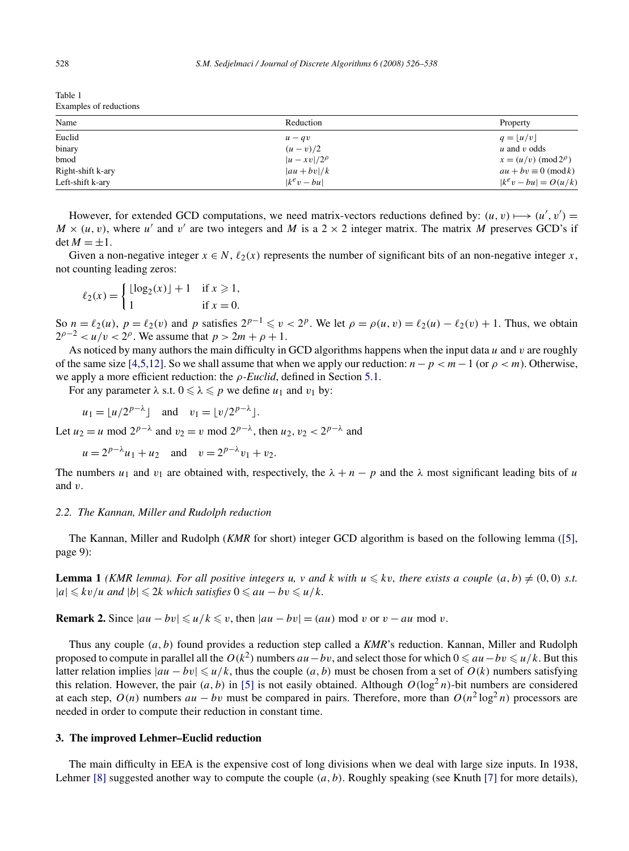<span id="page-2-0"></span>Table 1 Examples of reductions

| Name              | Reduction           | Property                    |
|-------------------|---------------------|-----------------------------|
| Euclid            | $u - qv$            | $q= u/v $                   |
| binary            | $(u - v)/2$         | $u$ and $v$ odds            |
| bmod              | $ u - xv /2^{\rho}$ | $x = (u/v) \pmod{2^{\rho}}$ |
| Right-shift k-ary | $ au + bv /k$       | $au + bv \equiv 0 \pmod{k}$ |
| Left-shift k-ary  | $ k^e v - bu $      | $ k^e v - bu  = O(u/k)$     |

However, for extended GCD computations, we need matrix-vectors reductions defined by:  $(u, v) \mapsto (u', v') =$  $M \times (u, v)$ , where *u'* and *v'* are two integers and *M* is a 2  $\times$  2 integer matrix. The matrix *M* preserves GCD's if  $\det M = \pm 1$ .

Given a non-negative integer  $x \in N$ ,  $\ell_2(x)$  represents the number of significant bits of an non-negative integer x, not counting leading zeros:

$$
\ell_2(x) = \begin{cases} \lfloor \log_2(x) \rfloor + 1 & \text{if } x \ge 1, \\ 1 & \text{if } x = 0. \end{cases}
$$

So  $n = \ell_2(u)$ ,  $p = \ell_2(v)$  and  $p$  satisfies  $2^{p-1} \le v < 2^p$ . We let  $\rho = \rho(u, v) = \ell_2(u) - \ell_2(v) + 1$ . Thus, we obtain  $2^{p-2} < u/v < 2^p$ . We assume that  $p > 2m + p + 1$ .

As noticed by many authors the main difficulty in GCD algorithms happens when the input data *u* and *v* are roughly of the same size [\[4,5,12\].](#page-12-0) So we shall assume that when we apply our reduction: *n*−*p<m*−1 (or *ρ<m*). Otherwise, we apply a more efficient reduction: the *ρ-Euclid*, defined in Section [5.1.](#page-10-0)

For any parameter  $\lambda$  s.t.  $0 \le \lambda \le p$  we define  $u_1$  and  $v_1$  by:

$$
u_1 = \lfloor u/2^{p-\lambda} \rfloor
$$
 and  $v_1 = \lfloor v/2^{p-\lambda} \rfloor$ .

Let  $u_2 = u \mod 2^{p-\lambda}$  and  $v_2 = v \mod 2^{p-\lambda}$ , then  $u_2, v_2 < 2^{p-\lambda}$  and

$$
u = 2^{p-\lambda}u_1 + u_2
$$
 and  $v = 2^{p-\lambda}v_1 + v_2$ .

The numbers  $u_1$  and  $v_1$  are obtained with, respectively, the  $\lambda + n - p$  and the  $\lambda$  most significant leading bits of *u* and *v*.

#### *2.2. The Kannan, Miller and Rudolph reduction*

The Kannan, Miller and Rudolph (*KMR* for short) integer GCD algorithm is based on the following lemma [\(\[5\],](#page-12-0) page 9):

**Lemma 1** *(KMR lemma). For all positive integers u, v and k with*  $u \leq k v$ *, there exists a couple*  $(a, b) \neq (0, 0)$  *s.t.*  $|a|$  ≤  $kv/u$  *and*  $|b|$  ≤ 2 $k$  *which satisfies* 0 ≤  $au - bv \le u/k$ *.* 

**Remark 2.** Since  $|au - bv| \le u/k \le v$ , then  $|au - bv| = (au) \text{ mod } v$  or  $v - au \text{ mod } v$ .

Thus any couple *(a, b)* found provides a reduction step called a *KMR*'s reduction. Kannan, Miller and Rudolph proposed to compute in parallel all the  $O(k^2)$  numbers  $au - bv$ , and select those for which  $0 ≤ au - bv ≤ u/k$ . But this latter relation implies  $|au - bv| \le u/k$ , thus the couple  $(a, b)$  must be chosen from a set of  $O(k)$  numbers satisfying this relation. However, the pair  $(a, b)$  in [\[5\]](#page-12-0) is not easily obtained. Although  $O(\log^2 n)$ -bit numbers are considered at each step,  $O(n)$  numbers  $au - bv$  must be compared in pairs. Therefore, more than  $O(n^2 \log^2 n)$  processors are needed in order to compute their reduction in constant time.

#### **3. The improved Lehmer–Euclid reduction**

The main difficulty in EEA is the expensive cost of long divisions when we deal with large size inputs. In 1938, Lehmer [\[8\]](#page-12-0) suggested another way to compute the couple *(a, b)*. Roughly speaking (see Knuth [\[7\]](#page-12-0) for more details),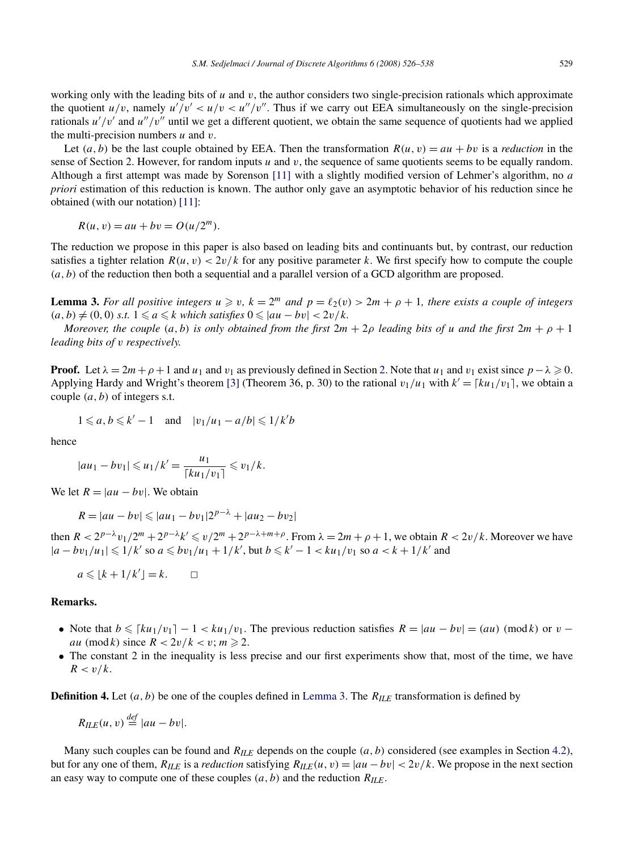working only with the leading bits of *u* and *v*, the author considers two single-precision rationals which approximate the quotient  $u/v$ , namely  $u'/v' < u/v < u''/v''$ . Thus if we carry out EEA simultaneously on the single-precision rationals  $u'/v'$  and  $u''/v''$  until we get a different quotient, we obtain the same sequence of quotients had we applied the multi-precision numbers *u* and *v*.

Let  $(a, b)$  be the last couple obtained by EEA. Then the transformation  $R(u, v) = au + bv$  is a *reduction* in the sense of Section 2. However, for random inputs *u* and *v*, the sequence of same quotients seems to be equally random. Although a first attempt was made by Sorenson [\[11\]](#page-12-0) with a slightly modified version of Lehmer's algorithm, no *a priori* estimation of this reduction is known. The author only gave an asymptotic behavior of his reduction since he obtained (with our notation) [\[11\]:](#page-12-0)

 $R(u, v) = au + bv = O(u/2<sup>m</sup>).$ 

The reduction we propose in this paper is also based on leading bits and continuants but, by contrast, our reduction satisfies a tighter relation  $R(u, v) < 2v/k$  for any positive parameter k. We first specify how to compute the couple *(a, b)* of the reduction then both a sequential and a parallel version of a GCD algorithm are proposed.

**Lemma 3.** For all positive integers  $u \ge v$ ,  $k = 2^m$  and  $p = \ell_2(v) > 2m + \rho + 1$ , there exists a couple of integers  $(a, b) \neq (0, 0)$  *s.t.*  $1 \leq a \leq k$  *which satisfies*  $0 \leq |au - bv| < 2v/k$ .

*Moreover, the couple*  $(a, b)$  *is only obtained from the first*  $2m + 2p$  *leading bits of u and the first*  $2m + p + 1$ *leading bits of v respectively.*

**Proof.** Let  $\lambda = 2m + \rho + 1$  and  $u_1$  and  $v_1$  as previously defined in Section [2.](#page-1-0) Note that  $u_1$  and  $v_1$  exist since  $p - \lambda \ge 0$ . Applying Hardy and Wright's theorem [\[3\]](#page-12-0) (Theorem 36, p. 30) to the rational  $v_1/u_1$  with  $k' = \lceil ku_1/v_1 \rceil$ , we obtain a couple *(a, b)* of integers s.t.

$$
1 \leq a, b \leq k'-1 \quad \text{and} \quad |v_1/u_1 - a/b| \leq 1/k'b
$$

hence

$$
|au_1 - bv_1| \leq u_1/k' = \frac{u_1}{\lceil ku_1/v_1 \rceil} \leq v_1/k.
$$

We let  $R = |au - bv|$ . We obtain

$$
R = |au - bv| \le |au_1 - bv_1| 2^{p - \lambda} + |au_2 - bv_2|
$$

then  $R < 2^{p-\lambda}v_1/2^m + 2^{p-\lambda}k' \le v/2^m + 2^{p-\lambda+m+\rho}$ . From  $\lambda = 2m + \rho + 1$ , we obtain  $R < 2v/k$ . Moreover we have  $|a - bv_1/u_1|$  ≤ 1/k' so  $a$  ≤  $bv_1/u_1 + 1/k'$ , but  $b$  ≤  $k' - 1 < ku_1/v_1$  so  $a < k + 1/k'$  and

$$
a\leqslant \lfloor k+1/k'\rfloor =k.\qquad \square
$$

#### **Remarks.**

- Note that  $b \leq \lceil k u_1/v_1 \rceil 1 < k u_1/v_1$ . The previous reduction satisfies  $R = |au bv| = (au) \pmod{k}$  or  $v$ *au* (mod *k*) since  $R < 2v/k < v$ ;  $m \ge 2$ .
- The constant 2 in the inequality is less precise and our first experiments show that, most of the time, we have  $R < v/k$ .

**Definition 4.** Let *(a, b)* be one of the couples defined in Lemma 3. The *RILE* transformation is defined by

 $R_{IIF}(u, v) \stackrel{def}{=} |au - bv|$ .

Many such couples can be found and *RILE* depends on the couple *(a, b)* considered (see examples in Section [4.2\)](#page-9-0), but for any one of them,  $R_{ILE}$  is a *reduction* satisfying  $R_{ILE}(u, v) = |au - bv| < 2v/k$ . We propose in the next section an easy way to compute one of these couples  $(a, b)$  and the reduction  $R_{I\!I\!E}$ .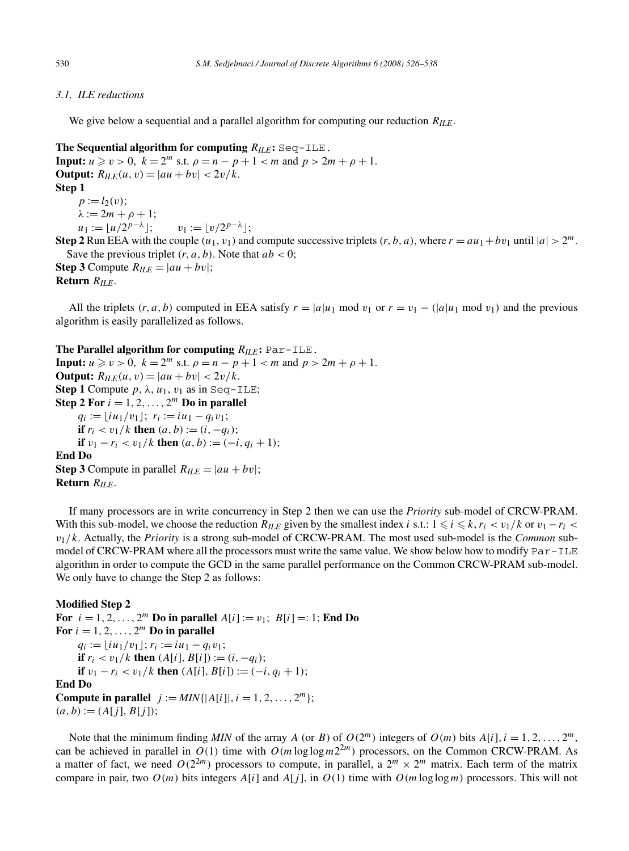#### <span id="page-4-0"></span>*3.1. ILE reductions*

We give below a sequential and a parallel algorithm for computing our reduction *RILE*.

**The Sequential algorithm for computing** *RILE***:** Seq-ILE. **Input:**  $u \ge v > 0$ ,  $k = 2^m$  s.t.  $\rho = n - p + 1 < m$  and  $p > 2m + \rho + 1$ . **Output:**  $R_{ILE}(u, v) = |au + bv| < 2v/k$ . **Step 1**  $p := l_2(v)$ ;  $λ := 2m + ρ + 1;$  $u_1 := |u/2^{p-\lambda}|;$   $v_1 := |v/2^{p-\lambda}|;$ **Step 2** Run EEA with the couple  $(u_1, v_1)$  and compute successive triplets  $(r, b, a)$ , where  $r = au_1 + bv_1$  until  $|a| > 2^m$ . Save the previous triplet  $(r, a, b)$ . Note that  $ab < 0$ ; **Step 3** Compute  $R_{ILE} = |au + bv|$ ;

**Return** *RILE*.

All the triplets  $(r, a, b)$  computed in EEA satisfy  $r = |a|u_1 \mod v_1$  or  $r = v_1 - (|a|u_1 \mod v_1)$  and the previous algorithm is easily parallelized as follows.

**The Parallel algorithm for computing**  $R_{ILE}$ **: Par-ILE.** 

**Input:**  $u \ge v > 0$ ,  $k = 2^m$  s.t.  $\rho = n - p + 1 < m$  and  $p > 2m + \rho + 1$ . **Output:**  $R_{ILE}(u, v) = |au + bv| < 2v/k$ . **Step 1** Compute  $p$ ,  $\lambda$ ,  $u_1$ ,  $v_1$  as in Seq-ILE; **Step 2 For**  $i = 1, 2, ..., 2^m$  **Do in parallel**  $q_i := |i u_1 / v_1|$ ;  $r_i := i u_1 - q_i v_1$ ; **if**  $r_i < v_1/k$  **then**  $(a, b) := (i, -q_i);$ **if**  $v_1 - r_i < v_1/k$  **then**  $(a, b) := (-i, q_i + 1);$ **End Do Step 3** Compute in parallel  $R_{ILE} = |au + bv|$ ; **Return** *RILE*.

If many processors are in write concurrency in Step 2 then we can use the *Priority* sub-model of CRCW-PRAM. With this sub-model, we choose the reduction  $R_{ILE}$  given by the smallest index *i* s.t.:  $1 \le i \le k$ ,  $r_i < v_1/k$  or  $v_1 - r_i < v_2/k$ *v*1*/k*. Actually, the *Priority* is a strong sub-model of CRCW-PRAM. The most used sub-model is the *Common* submodel of CRCW-PRAM where all the processors must write the same value. We show below how to modify Par-ILE algorithm in order to compute the GCD in the same parallel performance on the Common CRCW-PRAM sub-model. We only have to change the Step 2 as follows:

#### **Modified Step 2**

**For**  $i = 1, 2, ..., 2^m$  **Do in parallel**  $A[i] := v_1$ ;  $B[i] =: 1$ ; **End Do** For  $i = 1, 2, \ldots, 2^m$  Do in parallel  $q_i := [iu_1/v_1]; r_i := i u_1 - q_i v_1;$ **if**  $r_i < v_1/k$  **then**  $(A[i], B[i]) := (i, -q_i);$ **if**  $v_1 - r_i < v_1/k$  **then**  $(A[i], B[i]) := (-i, q_i + 1);$ **End Do Compute in parallel**  $j := MIN\{|A[i]|, i = 1, 2, ..., 2^m\};$  $(a, b) := (A[j], B[j])$ ;

Note that the minimum finding *MIN* of the array *A* (or *B*) of  $O(2^m)$  integers of  $O(m)$  bits  $A[i], i = 1, 2, ..., 2^m$ , can be achieved in parallel in  $O(1)$  time with  $O(m \log \log m 2^{2m})$  processors, on the Common CRCW-PRAM. As a matter of fact, we need  $O(2^{2m})$  processors to compute, in parallel, a  $2^m \times 2^m$  matrix. Each term of the matrix compare in pair, two  $O(m)$  bits integers  $A[i]$  and  $A[i]$ , in  $O(1)$  time with  $O(m \log \log m)$  processors. This will not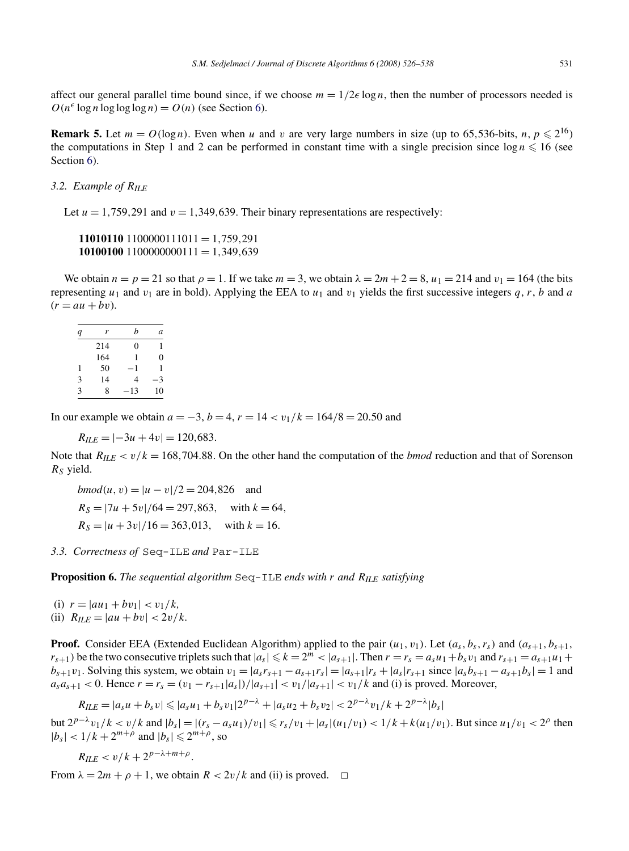<span id="page-5-0"></span>affect our general parallel time bound since, if we choose  $m = 1/2\epsilon \log n$ , then the number of processors needed is  $O(n^{\epsilon} \log n \log \log \log n) = O(n)$  (see Section [6\)](#page-11-0).

**Remark 5.** Let  $m = O(\log n)$ . Even when *u* and *v* are very large numbers in size (up to 65.536-bits, *n*,  $p \le 2^{16}$ ) the computations in Step 1 and 2 can be performed in constant time with a single precision since  $\log n \leq 16$  (see Section [6\)](#page-11-0).

## *3.2. Example of RILE*

Let  $u = 1,759,291$  and  $v = 1,349,639$ . Their binary representations are respectively:

**11010110** 1100000111011 = 1*,*759*,*291 **10100100** 1100000000111 = 1*,*349*,*639

We obtain  $n = p = 21$  so that  $\rho = 1$ . If we take  $m = 3$ , we obtain  $\lambda = 2m + 2 = 8$ ,  $u_1 = 214$  and  $v_1 = 164$  (the bits representing  $u_1$  and  $v_1$  are in bold). Applying the EEA to  $u_1$  and  $v_1$  yields the first successive integers  $q, r, b$  and  $a$  $(r = au + bv)$ .

| q | r   | h        | a  |
|---|-----|----------|----|
|   | 214 | $\theta$ | 1  |
|   | 164 | 1        | 0  |
| 1 | 50  | — 1      | 1  |
| 3 | 14  | 4        | -3 |
| 3 | 8   | 13       | 10 |

In our example we obtain  $a = -3$ ,  $b = 4$ ,  $r = 14 < v_1/k = 164/8 = 20.50$  and

 $R_{IIF} = |-3u + 4v| = 120,683.$ 

Note that  $R_{I\ell E} < v/k = 168,704.88$ . On the other hand the computation of the *bmod* reduction and that of Sorenson *RS* yield.

*bmod*(*u*, *v*) =  $|u - v|/2 = 204,826$  and  $R_S = |7u + 5v|/64 = 297,863$ , with  $k = 64$ ,  $R_S = |u + 3v|/16 = 363,013$ , with  $k = 16$ .

*3.3. Correctness of* Seq-ILE *and* Par-ILE

**Proposition 6.** The sequential algorithm  $\text{Seq-ILE}$  *ends with*  $r$  *and*  $R_{ILE}$  *satisfying* 

(i)  $r = |au_1 + bv_1| < v_1/k$ ,

(ii) 
$$
R_{ILE} = |au + bv| < 2v/k.
$$

**Proof.** Consider EEA (Extended Euclidean Algorithm) applied to the pair  $(u_1, v_1)$ . Let  $(a_s, b_s, r_s)$  and  $(a_{s+1}, b_{s+1}, b_s)$  $r_{s+1}$ ) be the two consecutive triplets such that  $|a_s| \le k = 2^m < |a_{s+1}|$ . Then  $r = r_s = a_s u_1 + b_s v_1$  and  $r_{s+1} = a_{s+1} u_1 + b_s u_2 u_3$ *b<sub>s</sub>*+1</sub>*v*<sub>1</sub>. Solving this system, we obtain  $v_1 = |a_s r_{s+1} - a_{s+1} r_s| = |a_{s+1}| r_s + |a_s r_{s+1}$  since  $|a_s b_{s+1} - a_{s+1} b_s| = 1$  and  $a_s a_{s+1} < 0$ . Hence  $r = r_s = (v_1 - r_{s+1}|a_s|)/|a_{s+1}| < v_1/|a_{s+1}| < v_1/k$  and (i) is proved. Moreover,

$$
R_{ILE} = |a_s u + b_s v| \leq |a_s u_1 + b_s v_1| 2^{p - \lambda} + |a_s u_2 + b_s v_2| < 2^{p - \lambda} v_1 / k + 2^{p - \lambda} |b_s|
$$

but  $2^{p-\lambda}v_1/k < v/k$  and  $|b_s| = |(r_s - a_s u_1)/v_1| \le r_s/v_1 + |a_s|(u_1/v_1) < 1/k + k(u_1/v_1)$ . But since  $u_1/v_1 < 2^p$  then  $|b_s| < 1/k + 2^{m+\rho}$  and  $|b_s| \le 2^{m+\rho}$ , so

 $R_{ILE} < v/k + 2^{p-\lambda+m+\rho}.$ 

From  $\lambda = 2m + \rho + 1$ , we obtain  $R < 2v/k$  and (ii) is proved.  $\Box$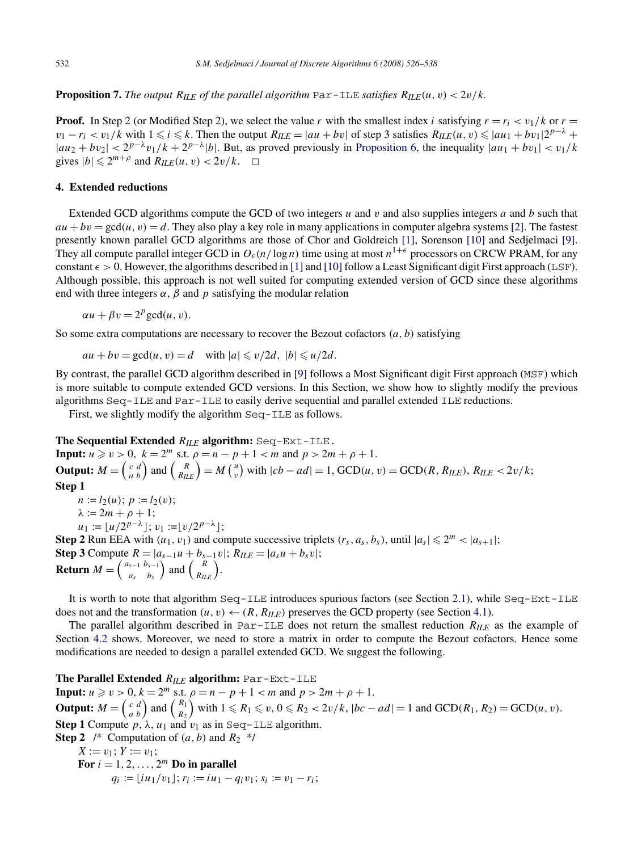<span id="page-6-0"></span>**Proposition 7.** The output  $R_{ILE}$  of the parallel algorithm  $\text{Par-ILE}$  satisfies  $R_{ILE}(u, v) < 2v/k$ .

**Proof.** In Step 2 (or Modified Step 2), we select the value *r* with the smallest index *i* satisfying  $r = r_i < v_1/k$  or  $r =$  $v_1 - r_i < v_1/k$  with  $1 \le i \le k$ . Then the output  $R_{LLE} = |au + bv|$  of step 3 satisfies  $R_{LLE}(u, v) \le |au_1 + bv_1|2^{p-\lambda}$  +  $|au_2 + bv_2| < 2^{p-\lambda}v_1/k + 2^{p-\lambda}|b|$ . But, as proved previously in [Proposition 6,](#page-5-0) the inequality  $|au_1 + bv_1| < v_1/k$ gives  $|b| \leq 2^{m+\rho}$  and  $R_{I\cup E}(u, v) < 2v/k$ .  $\Box$ 

#### **4. Extended reductions**

Extended GCD algorithms compute the GCD of two integers *u* and *v* and also supplies integers *a* and *b* such that  $au + bv = \gcd(u, v) = d$ . They also play a key role in many applications in computer algebra systems [\[2\].](#page-12-0) The fastest presently known parallel GCD algorithms are those of Chor and Goldreich [\[1\],](#page-12-0) Sorenson [\[10\]](#page-12-0) and Sedjelmaci [\[9\].](#page-12-0) They all compute parallel integer GCD in  $O_\epsilon(n/\log n)$  time using at most  $n^{1+\epsilon}$  processors on CRCW PRAM, for any constant  $\epsilon > 0$ . However, the algorithms described in [\[1\]](#page-12-0) and [\[10\]](#page-12-0) follow a Least Significant digit First approach (LSF). Although possible, this approach is not well suited for computing extended version of GCD since these algorithms end with three integers  $\alpha$ ,  $\beta$  and  $p$  satisfying the modular relation

 $\alpha u + \beta v = 2^p \text{gcd}(u, v).$ 

So some extra computations are necessary to recover the Bezout cofactors  $(a, b)$  satisfying

 $au + bv = \gcd(u, v) = d$  with  $|a| \le v/2d$ ,  $|b| \le u/2d$ .

By contrast, the parallel GCD algorithm described in [\[9\]](#page-12-0) follows a Most Significant digit First approach (MSF) which is more suitable to compute extended GCD versions. In this Section, we show how to slightly modify the previous algorithms Seq-ILE and Par-ILE to easily derive sequential and parallel extended ILE reductions.

First, we slightly modify the algorithm Seq-ILE as follows.

#### **The Sequential Extended** *RILE* **algorithm:** Seq-Ext-ILE.

**Input:**  $u \ge v > 0$ ,  $k = 2^m$  s.t.  $\rho = n - p + 1 < m$  and  $p > 2m + \rho + 1$ . **Output:**  $M = \begin{pmatrix} c & d \\ a & b \end{pmatrix}$  and  $\begin{pmatrix} R \\ R_{ILE} \end{pmatrix} = M \begin{pmatrix} u \\ v \end{pmatrix}$  with  $|cb - ad| = 1$ , GCD $(u, v) = \text{GCD}(R, R_{ILE}), R_{ILE} < 2v/k$ ; **Step 1**  $n := l_2(u); p := l_2(v);$  $λ := 2m + ρ + 1;$  $u_1 := [u/2^{p-\lambda}]$ ;  $v_1 := [v/2^{p-\lambda}]$ ; **Step 2** Run EEA with  $(u_1, v_1)$  and compute successive triplets  $(r_s, a_s, b_s)$ , until  $|a_s| \leq 2^m < |a_{s+1}|$ ; **Step 3** Compute  $R = |a_{s-1}u + b_{s-1}v|$ ;  $R_{ILE} = |a_s u + b_s v|$ ;

**Return** *M* =  $\begin{pmatrix} a_{s-1} & b_{s-1} \\ a_{s-1} & b_{s-1} \end{pmatrix}$ *as bs*  $\binom{R}{R_{ILE}}$ .

It is worth to note that algorithm Seq-ILE introduces spurious factors (see Section [2.1\)](#page-1-0), while Seq-Ext-ILE does not and the transformation  $(u, v) \leftarrow (R, R_{ILE})$  preserves the GCD property (see Section [4.1\)](#page-7-0).

The parallel algorithm described in Par-ILE does not return the smallest reduction *RILE* as the example of Section [4.2](#page-9-0) shows. Moreover, we need to store a matrix in order to compute the Bezout cofactors. Hence some modifications are needed to design a parallel extended GCD. We suggest the following.

**The Parallel Extended** *RILE* **algorithm:** Par-Ext-ILE **Input:**  $u \ge v > 0$ ,  $k = 2^m$  s.t.  $\rho = n - p + 1 < m$  and  $p > 2m + \rho + 1$ . **Output:**  $M = \begin{pmatrix} c & d \\ a & b \end{pmatrix}$  and  $\begin{pmatrix} R_1 \\ R_2 \end{pmatrix}$  $\int$  with 1 ≤  $R_1$  ≤  $v, 0$  ≤  $R_2$  < 2 $v/k$ ,  $|bc - ad| = 1$  and GCD( $R_1, R_2$ ) = GCD( $u, v$ ). **Step 1** Compute  $p, \lambda, u_1$  and  $v_1$  as in Seq-ILE algorithm. **Step 2** /\* Computation of  $(a, b)$  and  $R_2$  \*/  $X := v_1$ ;  $Y := v_1$ ; For  $i = 1, 2, \ldots, 2^m$  Do in parallel  $q_i := |i u_1 / v_1|$ ;  $r_i := i u_1 - q_i v_1$ ;  $s_i := v_1 - r_i$ ;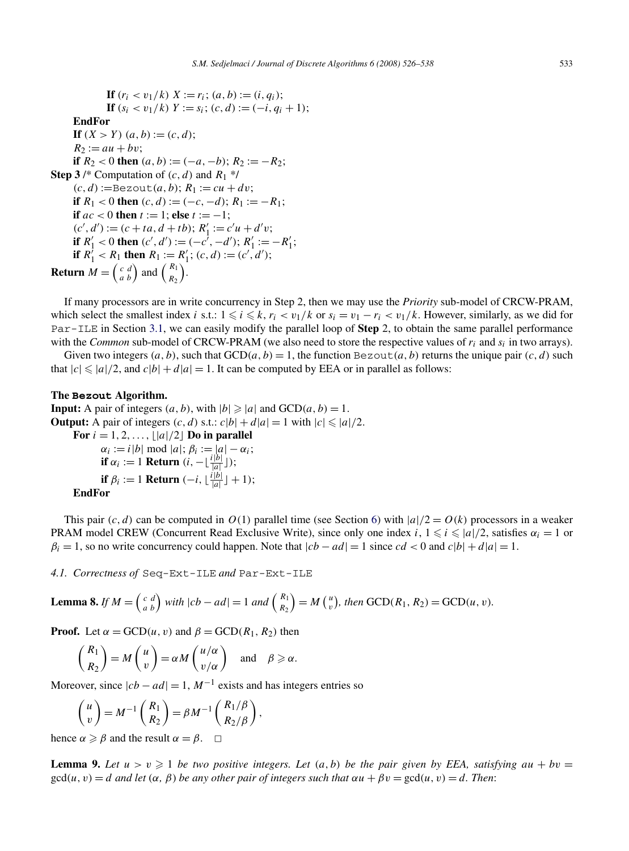<span id="page-7-0"></span>**If**  $(r_i < v_1/k)$   $X := r_i$ ;  $(a, b) := (i, q_i)$ ; **If**  $(s_i < v_1/k)$   $Y := s_i$ ;  $(c, d) := (-i, q_i + 1)$ ; **EndFor If**  $(X > Y)$   $(a, b) := (c, d);$  $R_2 := au + bv$ ; **if**  $R_2 < 0$  **then**  $(a, b) := (-a, -b)$ ;  $R_2 := -R_2$ ; **Step 3** /\* Computation of  $(c, d)$  and  $R_1$  \*/  $(c, d) :=$ Bezout $(a, b)$ ;  $R_1 := cu + dv$ ; **if**  $R_1 < 0$  **then**  $(c, d) := (-c, -d); R_1 := -R_1;$ **if**  $ac < 0$  **then**  $t := 1$ ; **else**  $t := -1$ ;  $(c', d') := (c + ta, d + tb); R'_1 := c'u + d'v;$ **if**  $R'_1 < 0$  then  $(c', d') := (-c^7, -d')$ ;  $R'_1 := -R'_1$ ; **if**  $R_1' < R_1$  **then**  $R_1 := R_1'$ ;  $(c, d) := (c', d')$ ; **Return**  $M = \begin{pmatrix} c & d \\ a & b \end{pmatrix}$  and  $\begin{pmatrix} R_1 \\ R_2 \end{pmatrix}$ .

If many processors are in write concurrency in Step 2, then we may use the *Priority* sub-model of CRCW-PRAM, which select the smallest index *i* s.t.:  $1 \leq i \leq k$ ,  $r_i < v_1/k$  or  $s_i = v_1 - r_i < v_1/k$ . However, similarly, as we did for Par-ILE in Section [3.1,](#page-4-0) we can easily modify the parallel loop of **Step** 2, to obtain the same parallel performance with the *Common* sub-model of CRCW-PRAM (we also need to store the respective values of  $r_i$  and  $s_i$  in two arrays).

Given two integers  $(a, b)$ , such that  $GCD(a, b) = 1$ , the function  $Bezout(a, b)$  returns the unique pair  $(c, d)$  such that  $|c| \leq a/2$ , and  $c|b| + d|a| = 1$ . It can be computed by EEA or in parallel as follows:

#### **The Bezout Algorithm.**

**Input:** A pair of integers  $(a, b)$ , with  $|b| \geq |a|$  and  $GCD(a, b) = 1$ . **Output:** A pair of integers  $(c, d)$  s.t.:  $c|b| + d|a| = 1$  with  $|c| \leq |a|/2$ .

**For**  $i = 1, 2, ..., |\frac{a}{2}|$  **Do in parallel**  $\alpha_i := i |b| \bmod |a|; \beta_i := |a| - \alpha_i;$ **if**  $\alpha_i := 1$  **Return**  $(i, -\lfloor \frac{i|b|}{|a|} \rfloor);$ **if**  $\beta_i := 1$  **Return**  $(-i, \lfloor \frac{i|b|}{|a|} \rfloor + 1);$ **EndFor**

This pair  $(c, d)$  can be computed in  $O(1)$  parallel time (see Section [6\)](#page-11-0) with  $|a|/2 = O(k)$  processors in a weaker PRAM model CREW (Concurrent Read Exclusive Write), since only one index *i*,  $1 \le i \le |a|/2$ , satisfies  $\alpha_i = 1$  or  $\beta_i = 1$ , so no write concurrency could happen. Note that  $|cb - ad| = 1$  since  $cd < 0$  and  $c|b| + d|a| = 1$ .

*4.1. Correctness of* Seq-Ext-ILE *and* Par-Ext-ILE

**Lemma 8.** If 
$$
M = \begin{pmatrix} c & d \\ a & b \end{pmatrix}
$$
 with  $|cb - ad| = 1$  and  $\begin{pmatrix} R_1 \\ R_2 \end{pmatrix} = M \begin{pmatrix} u \\ v \end{pmatrix}$ , then  $GCD(R_1, R_2) = GCD(u, v)$ .

**Proof.** Let  $\alpha = \text{GCD}(u, v)$  and  $\beta = \text{GCD}(R_1, R_2)$  then

$$
\binom{R_1}{R_2} = M \binom{u}{v} = \alpha M \binom{u/\alpha}{v/\alpha} \quad \text{and} \quad \beta \geqslant \alpha.
$$

Moreover, since  $|cb - ad| = 1$ ,  $M^{-1}$  exists and has integers entries so

$$
\begin{pmatrix} u \\ v \end{pmatrix} = M^{-1} \begin{pmatrix} R_1 \\ R_2 \end{pmatrix} = \beta M^{-1} \begin{pmatrix} R_1/\beta \\ R_2/\beta \end{pmatrix},
$$

hence  $\alpha \geq \beta$  and the result  $\alpha = \beta$ .  $\Box$ 

**Lemma 9.** Let  $u > v \ge 1$  be two positive integers. Let  $(a, b)$  be the pair given by EEA, satisfying  $au + bv =$  $gcd(u, v) = d$  *and let*  $(\alpha, \beta)$  *be any other pair of integers such that*  $\alpha u + \beta v = gcd(u, v) = d$ *. Then:*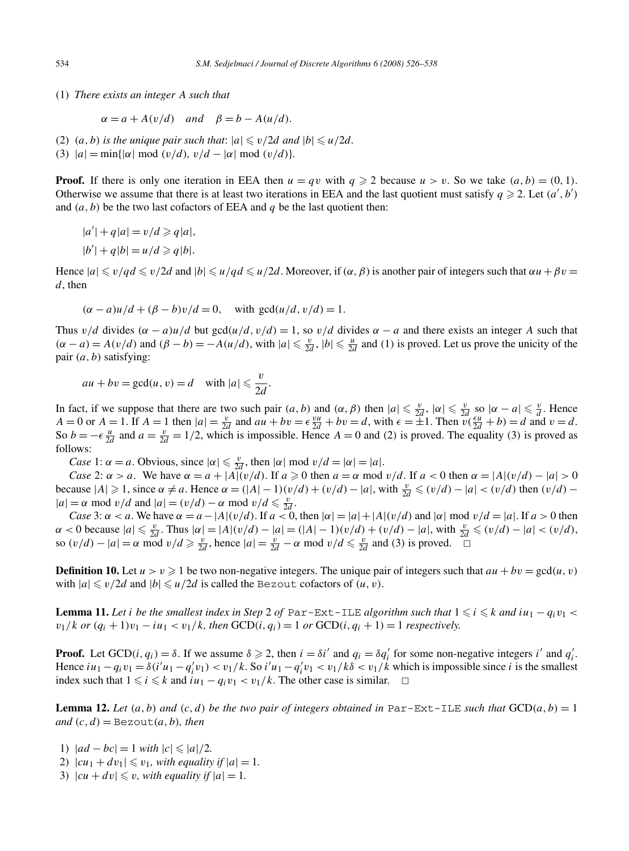<span id="page-8-0"></span>(1) *There exists an integer A such that*

$$
\alpha = a + A(v/d)
$$
 and  $\beta = b - A(u/d)$ .

- (2)  $(a, b)$  *is the unique pair such that:*  $|a| \le v/2d$  *and*  $|b| \le u/2d$ .
- (3)  $|a| = \min\{|a| \mod (v/d), v/d |\alpha| \mod (v/d)\}.$

**Proof.** If there is only one iteration in EEA then  $u = qv$  with  $q \ge 2$  because  $u > v$ . So we take  $(a, b) = (0, 1)$ . Otherwise we assume that there is at least two iterations in EEA and the last quotient must satisfy  $q \ge 2$ . Let  $(a', b')$ and  $(a, b)$  be the two last cofactors of EEA and  $q$  be the last quotient then:

$$
|a'| + q|a| = v/d \geqslant q|a|,
$$
  

$$
|b'| + q|b| = u/d \geqslant q|b|.
$$

Hence  $|a| \le v/qd \le v/2d$  and  $|b| \le u/qd \le u/2d$ . Moreover, if  $(\alpha, \beta)$  is another pair of integers such that  $\alpha u + \beta v =$ *d*, then

$$
(\alpha - a)u/d + (\beta - b)v/d = 0, \text{ with } \gcd(u/d, v/d) = 1.
$$

Thus  $v/d$  divides  $(\alpha - a)u/d$  but gcd $(u/d, v/d) = 1$ , so  $v/d$  divides  $\alpha - a$  and there exists an integer *A* such that  $(\alpha - a) = A(v/d)$  and  $(\beta - b) = -A(u/d)$ , with  $|a| \le \frac{v}{2d}$ ,  $|b| \le \frac{u}{2d}$  and (1) is proved. Let us prove the unicity of the pair *(a, b)* satisfying:

$$
au + bv = \gcd(u, v) = d \quad \text{with } |a| \leq \frac{v}{2d}.
$$

In fact, if we suppose that there are two such pair  $(a, b)$  and  $(\alpha, \beta)$  then  $|a| \leq \frac{v}{2d}$ ,  $|\alpha| \leq \frac{v}{2d}$  so  $|\alpha - a| \leq \frac{v}{d}$ . Hence  $A = 0$  or  $A = 1$ . If  $A = 1$  then  $|a| = \frac{v}{2d}$  and  $au + bv = \epsilon \frac{vu}{2d} + bv = d$ , with  $\epsilon = \pm 1$ . Then  $v(\frac{\epsilon u}{2d} + b) = d$  and  $v = d$ . So  $b = -\epsilon \frac{u}{2d}$  and  $a = \frac{v}{2d} = 1/2$ , which is impossible. Hence  $A = 0$  and *(2)* is proved. The equality *(3)* is proved as follows:

*Case* 1:  $\alpha = a$ . Obvious, since  $|\alpha| \le \frac{v}{2d}$ , then  $|\alpha| \mod v/d = |\alpha| = |a|$ .

*Case* 2:  $\alpha > a$ . We have  $\alpha = a + |A|(v/d)$ . If  $a \ge 0$  then  $a = \alpha \mod v/d$ . If  $a < 0$  then  $\alpha = |A|(v/d) - |a| > 0$ because  $|A| \ge 1$ , since  $\alpha \ne a$ . Hence  $\alpha = (|A| - 1)(v/d) + (v/d) - |a|$ , with  $\frac{v}{2d} \le (v/d) - |a| < (v/d)$  then  $(v/d)$  $|a| = \alpha \text{ mod } v/d \text{ and } |a| = (v/d) - \alpha \text{ mod } v/d \leq \frac{v}{2d}$ .

*Case* 3:  $\alpha < a$ . We have  $\alpha = a - |A|(v/d)$ . If  $a < 0$ , then  $|\alpha| = |a| + |A|(v/d)$  and  $|\alpha|$  mod  $v/d = |a|$ . If  $a > 0$  then  $\alpha < 0$  because  $|a| \le \frac{v}{2d}$ . Thus  $|\alpha| = |A|(v/d) - |a| = (|A| - 1)(v/d) + (v/d) - |a|$ , with  $\frac{v}{2d} \le (v/d) - |a| < (v/d)$ , so  $(v/d) - |a| = \alpha \text{ mod } v/d \ge \frac{v}{2d}$ , hence  $|a| = \frac{v}{2d} - \alpha \text{ mod } v/d \le \frac{v}{2d}$  and (3) is proved.  $\Box$ 

**Definition 10.** Let  $u > v \ge 1$  be two non-negative integers. The unique pair of integers such that  $au + bv = \gcd(u, v)$ with  $|a| \le v/2d$  and  $|b| \le u/2d$  is called the Bezout cofactors of  $(u, v)$ .

**Lemma 11.** Let *i* be the smallest index in Step 2 of Par-Ext-ILE algorithm such that  $1 \le i \le k$  and  $iu_1 - q_i v_1 <$ *v*<sub>1</sub>/*k or*  $(q_i + 1)v_1 - iu_1 < v_1/k$ *, then* GCD $(i, q_i) = 1$  *or* GCD $(i, q_i + 1) = 1$  *respectively.* 

**Proof.** Let GCD(*i*,  $q_i$ ) =  $\delta$ . If we assume  $\delta \ge 2$ , then  $i = \delta i'$  and  $q_i = \delta q'_i$  for some non-negative integers *i'* and  $q'_i$ . Hence  $iu_1 - q_i v_1 = \delta(i'u_1 - q'_i v_1) < v_1/k$ . So  $i'u_1 - q'_i v_1 < v_1/k\delta < v_1/k$  which is impossible since i is the smallest index such that  $1 \le i \le k$  and  $iu_1 - q_i v_1 < v_1/k$ . The other case is similar.  $□$ 

**Lemma 12.** Let  $(a, b)$  and  $(c, d)$  be the two pair of integers obtained in Par-Ext-ILE such that  $GCD(a, b) = 1$  $and (c, d) =$ Bezout $(a, b)$ *, then* 

- 1)  $|ad bc| = 1$  *with*  $|c| ≤ |a|/2$ *.*
- 2)  $|cu_1 + dv_1| \le v_1$ , with equality if  $|a| = 1$ .
- 3)  $|cu + dv| \le v$ , with equality if  $|a| = 1$ .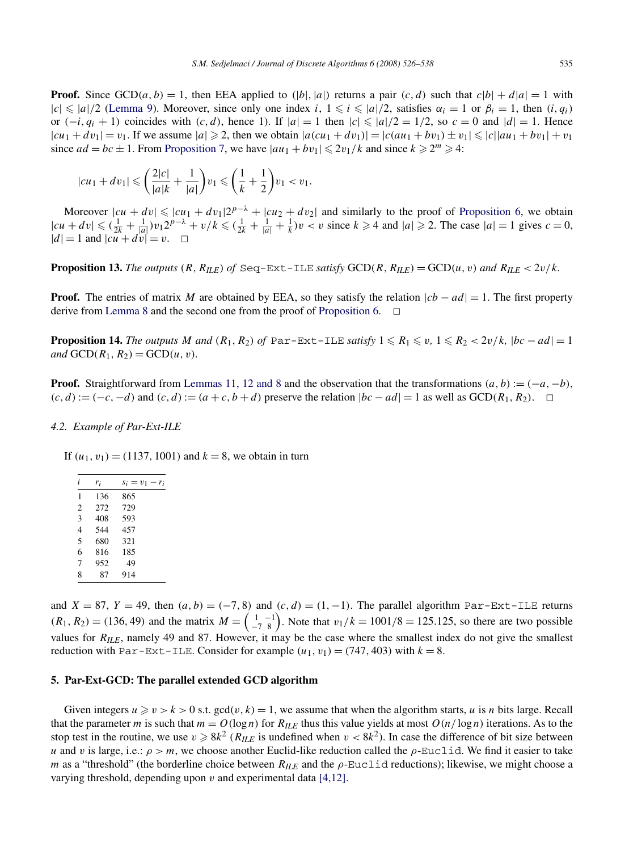<span id="page-9-0"></span>**Proof.** Since GCD(*a, b*) = 1, then EEA applied to (|*b*|*,*|*a*|) returns a pair  $(c, d)$  such that  $c|b| + d|a| = 1$  with  $|c| \le |a|/2$  [\(Lemma 9\)](#page-7-0). Moreover, since only one index *i*,  $1 \le i \le |a|/2$ , satisfies  $\alpha_i = 1$  or  $\beta_i = 1$ , then  $(i, q_i)$ or  $(-i, q_i + 1)$  coincides with  $(c, d)$ , hence 1). If  $|a| = 1$  then  $|c| \leq |a|/2 = 1/2$ , so  $c = 0$  and  $|d| = 1$ . Hence  $|cu_1 + dv_1| = v_1$ . If we assume  $|a| \ge 2$ , then we obtain  $|a(cu_1 + dv_1)| = |c(au_1 + bv_1) \pm v_1| \le |c||au_1 + bv_1| + v_1$ since  $ad = bc \pm 1$ . From [Proposition 7,](#page-6-0) we have  $|au_1 + bv_1| \leq 2v_1/k$  and since  $k \geq 2^m \geq 4$ :

$$
|cu_1 + dv_1| \leqslant \left(\frac{2|c|}{|a|k} + \frac{1}{|a|}\right)v_1 \leqslant \left(\frac{1}{k} + \frac{1}{2}\right)v_1 < v_1.
$$

Moreover  $|cu + dv| \le |cu_1 + dv_1|2^{p-\lambda} + |cu_2 + dv_2|$  and similarly to the proof of [Proposition 6,](#page-5-0) we obtain  $|cu + dv| \le (\frac{1}{2k} + \frac{1}{|a|})v_12^{p-\lambda} + v/k \le (\frac{1}{2k} + \frac{1}{|a|} + \frac{1}{k})v < v$  since  $k \ge 4$  and  $|a| \ge 2$ . The case  $|a| = 1$  gives  $c = 0$ ,  $|d| = 1$  and  $|cu + dv| = v$ .  $\Box$ 

**Proposition 13.** The outputs  $(R, R_{I\backslash E})$  of  $\text{Seq-Ext-ILE}$  *satisfy*  $\text{GCD}(R, R_{I\backslash E}) = \text{GCD}(u, v)$  and  $R_{I\backslash E} < 2v/k$ .

**Proof.** The entries of matrix *M* are obtained by EEA, so they satisfy the relation  $|cb - ad| = 1$ . The first property derive from [Lemma 8](#page-7-0) and the second one from the proof of [Proposition 6.](#page-5-0)  $\Box$ 

**Proposition 14.** The outputs M and  $(R_1, R_2)$  of Par-Ext-ILE satisfy  $1 \le R_1 \le v$ ,  $1 \le R_2 < 2v/k$ ,  $|bc - ad| = 1$ *and*  $GCD(R_1, R_2) = GCD(u, v)$ *.* 

**Proof.** Straightforward from [Lemmas 11, 12 and 8](#page-8-0) and the observation that the transformations  $(a, b) := (-a, -b)$ , *(c, d)* :=  $(-c, -d)$  and  $(c, d)$  :=  $(a + c, b + d)$  preserve the relation  $|bc - ad| = 1$  as well as GCD( $R_1, R_2$ ). ◯

#### *4.2. Example of Par-Ext-ILE*

If  $(u_1, v_1) = (1137, 1001)$  and  $k = 8$ , we obtain in turn

| i              | $r_i$ | $s_i = v_1 - r_i$ |
|----------------|-------|-------------------|
| 1              | 136   | 865               |
| $\overline{c}$ | 272   | 729               |
| 3              | 408   | 593               |
| 4              | 544   | 457               |
| 5              | 680   | 321               |
| 6              | 816   | 185               |
| 7              | 952   | 49                |
| 8              | 87    | 914               |

and  $X = 87$ ,  $Y = 49$ , then  $(a, b) = (-7, 8)$  and  $(c, d) = (1, -1)$ . The parallel algorithm Par-Ext-ILE returns  $(R_1, R_2) = (136, 49)$  and the matrix  $M = \begin{pmatrix} 1 & -1 \\ -7 & 8 \end{pmatrix}$ . Note that  $v_1/k = 1001/8 = 125.125$ , so there are two possible values for *RILE*, namely 49 and 87. However, it may be the case where the smallest index do not give the smallest reduction with Par-Ext-ILE. Consider for example  $(u_1, v_1) = (747, 403)$  with  $k = 8$ .

#### **5. Par-Ext-GCD: The parallel extended GCD algorithm**

Given integers  $u \ge v > k > 0$  s.t.  $gcd(v, k) = 1$ , we assume that when the algorithm starts, *u* is *n* bits large. Recall that the parameter *m* is such that  $m = O(\log n)$  for  $R_{I\!L\!E}$  thus this value yields at most  $O(n/\log n)$  iterations. As to the stop test in the routine, we use  $v \ge 8k^2$  ( $R_{ILE}$  is undefined when  $v < 8k^2$ ). In case the difference of bit size between *u* and *v* is large, i.e.:  $\rho > m$ , we choose another Euclid-like reduction called the  $\rho$ -Euclid. We find it easier to take *m* as a "threshold" (the borderline choice between *R<sub>ILE</sub>* and the *ρ*-Euclid reductions); likewise, we might choose a varying threshold, depending upon *v* and experimental data [\[4,12\].](#page-12-0)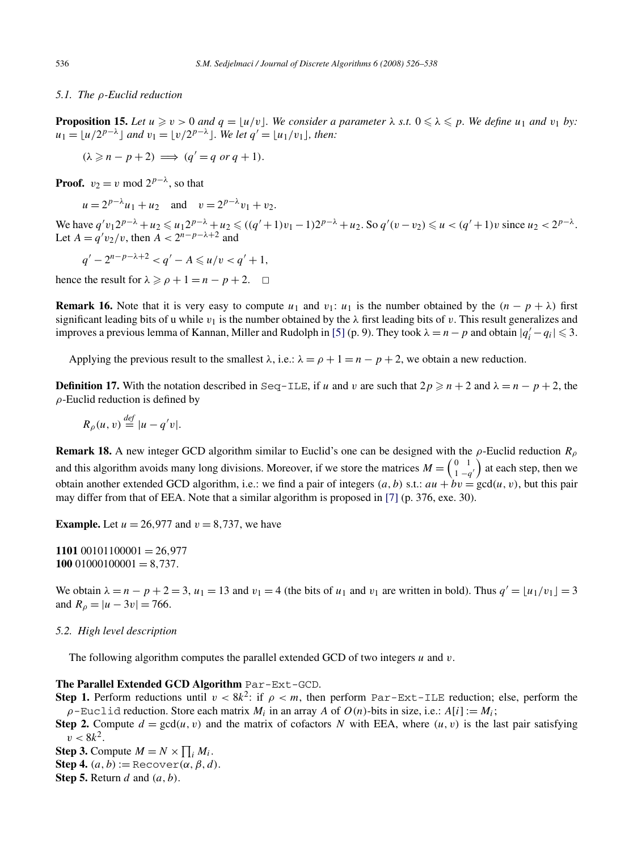#### <span id="page-10-0"></span>*5.1. The ρ-Euclid reduction*

**Proposition 15.** Let  $u \ge v > 0$  and  $q = \lfloor u/v \rfloor$ . We consider a parameter  $\lambda$  s.t.  $0 \le \lambda \le p$ . We define  $u_1$  and  $v_1$  by:  $u_1 = |u/2^{p-\lambda}|$  *and*  $v_1 = |v/2^{p-\lambda}|$ *. We let*  $q' = |u_1/v_1|$ *, then:* 

$$
(\lambda \geqslant n - p + 2) \implies (q' = q \text{ or } q + 1).
$$

**Proof.**  $v_2 = v \mod 2^{p-\lambda}$ , so that

 $u = 2^{p-\lambda}u_1 + u_2$  and  $v = 2^{p-\lambda}v_1 + v_2$ .

We have  $q'v_12^{p-\lambda} + u_2 \leq u_12^{p-\lambda} + u_2 \leq ((q'+1)v_1 - 1)2^{p-\lambda} + u_2$ . So  $q'(v-v_2) \leq u < (q'+1)v$  since  $u_2 < 2^{p-\lambda}$ . Let  $A = q'v_2/v$ , then  $A < 2^{n-p-\lambda+2}$  and

$$
q' - 2^{n-p-\lambda+2} < q' - A \leq u/v < q' + 1,
$$

hence the result for  $\lambda \geqslant \rho + 1 = n - p + 2$ .  $\Box$ 

**Remark 16.** Note that it is very easy to compute  $u_1$  and  $v_1$ :  $u_1$  is the number obtained by the  $(n - p + \lambda)$  first significant leading bits of u while  $v_1$  is the number obtained by the  $\lambda$  first leading bits of v. This result generalizes and improves a previous lemma of Kannan, Miller and Rudolph in [\[5\]](#page-12-0) (p. 9). They took  $\lambda = n - p$  and obtain  $|q'_i - q_i| \leq 3$ .

Applying the previous result to the smallest  $\lambda$ , i.e.:  $\lambda = \rho + 1 = n - p + 2$ , we obtain a new reduction.

**Definition 17.** With the notation described in Seq-ILE, if *u* and *v* are such that  $2p \ge n + 2$  and  $\lambda = n - p + 2$ , the *ρ*-Euclid reduction is defined by

$$
R_{\rho}(u,v) \stackrel{\text{def}}{=} |u - q'v|.
$$

**Remark 18.** A new integer GCD algorithm similar to Euclid's one can be designed with the *ρ*-Euclid reduction *Rρ* and this algorithm avoids many long divisions. Moreover, if we store the matrices  $M = \begin{pmatrix} 0 & 1 \\ 1 & -q' \end{pmatrix}$  at each step, then we obtain another extended GCD algorithm, i.e.: we find a pair of integers  $(a, b)$  s.t.:  $au + bv = \text{gcd}(u, v)$ , but this pair may differ from that of EEA. Note that a similar algorithm is proposed in [\[7\]](#page-12-0) (p. 376, exe. 30).

**Example.** Let  $u = 26,977$  and  $v = 8,737$ , we have

**1101** 00101100001 = 26*,*977  $10001000001 = 8,737.$ 

We obtain  $\lambda = n - p + 2 = 3$ ,  $u_1 = 13$  and  $v_1 = 4$  (the bits of  $u_1$  and  $v_1$  are written in bold). Thus  $q' = \lfloor u_1/v_1 \rfloor = 3$ and  $R_{\rho} = |u - 3v| = 766$ .

## *5.2. High level description*

The following algorithm computes the parallel extended GCD of two integers *u* and *v*.

## **The Parallel Extended GCD Algorithm** Par-Ext-GCD.

**Step 1.** Perform reductions until  $v < 8k^2$ : if  $\rho < m$ , then perform Par-Ext-ILE reduction; else, perform the  $\rho$ -Euclid reduction. Store each matrix  $M_i$  in an array *A* of  $O(n)$ -bits in size, i.e.:  $A[i] := M_i$ ;

**Step 2.** Compute  $d = \gcd(u, v)$  and the matrix of cofactors *N* with EEA, where  $(u, v)$  is the last pair satisfying  $v < 8k^2$ .

**Step 3.** Compute  $M = N \times \prod_i M_i$ . **Step 4.**  $(a, b) := \text{Recover}(\alpha, \beta, d)$ . **Step 5.** Return *d* and *(a, b)*.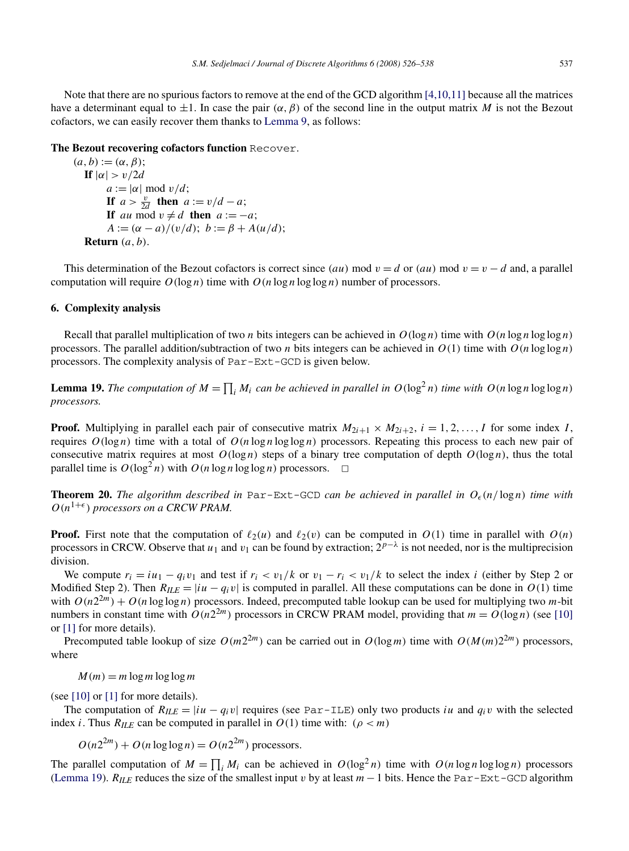<span id="page-11-0"></span>Note that there are no spurious factors to remove at the end of the GCD algorithm [\[4,10,11\]](#page-12-0) because all the matrices have a determinant equal to  $\pm 1$ . In case the pair  $(\alpha, \beta)$  of the second line in the output matrix *M* is not the Bezout cofactors, we can easily recover them thanks to [Lemma 9,](#page-7-0) as follows:

## **The Bezout recovering cofactors function** Recover.

 $(a, b) := (\alpha, \beta);$ **If**  $|\alpha| > v/2d$  $a := |\alpha| \mod v/d;$ **If**  $a > \frac{v}{2d}$  **then**  $a := v/d - a$ ; **If** *au* mod  $v \neq d$  **then**  $a := -a$ ;  $A := (\alpha - a)/(v/d); b := \beta + A(u/d);$ **Return** *(a, b)*.

This determination of the Bezout cofactors is correct since *(au)* mod  $v = d$  or *(au)* mod  $v = v - d$  and, a parallel computation will require  $O(\log n)$  time with  $O(n \log n \log \log n)$  number of processors.

## **6. Complexity analysis**

Recall that parallel multiplication of two *n* bits integers can be achieved in  $O(\log n)$  time with  $O(n \log n \log \log n)$ processors. The parallel addition/subtraction of two *n* bits integers can be achieved in  $O(1)$  time with  $O(n \log \log n)$ processors. The complexity analysis of Par-Ext-GCD is given below.

**Lemma 19.** *The computation of*  $M = \prod_i M_i$  *can be achieved in parallel in*  $O(\log^2 n)$  *time with*  $O(n \log n \log \log n)$ *processors.*

**Proof.** Multiplying in parallel each pair of consecutive matrix  $M_{2i+1} \times M_{2i+2}$ ,  $i = 1, 2, \ldots, I$  for some index *I*, requires  $O(log n)$  time with a total of  $O(n \log n \log \log n)$  processors. Repeating this process to each new pair of consecutive matrix requires at most  $O(log n)$  steps of a binary tree computation of depth  $O(log n)$ , thus the total parallel time is  $O(\log^2 n)$  with  $O(n \log n \log \log n)$  processors.  $\Box$ 

**Theorem 20.** The algorithm described in Par-Ext-GCD can be achieved in parallel in  $O_{\epsilon}(n/\log n)$  time with  $O(n^{1+\epsilon})$  processors on a CRCW PRAM.

**Proof.** First note that the computation of  $\ell_2(u)$  and  $\ell_2(v)$  can be computed in  $O(1)$  time in parallel with  $O(n)$ processors in CRCW. Observe that  $u_1$  and  $v_1$  can be found by extraction;  $2^{p-\lambda}$  is not needed, nor is the multiprecision division.

We compute  $r_i = iu_1 - q_i v_1$  and test if  $r_i < v_1/k$  or  $v_1 - r_i < v_1/k$  to select the index *i* (either by Step 2 or Modified Step 2). Then  $R_{ILE} = |iu - q_i v|$  is computed in parallel. All these computations can be done in  $O(1)$  time with  $O(n2^{2m}) + O(n \log \log n)$  processors. Indeed, precomputed table lookup can be used for multiplying two *m*-bit numbers in constant time with  $O(n2^{2m})$  processors in CRCW PRAM model, providing that  $m = O(\log n)$  (see [\[10\]](#page-12-0) or [\[1\]](#page-12-0) for more details).

Precomputed table lookup of size  $O(m2^{2m})$  can be carried out in  $O(log m)$  time with  $O(M(m)2^{2m})$  processors, where

 $M(m) = m \log m \log \log m$ 

(see  $[10]$  or  $[1]$  for more details).

The computation of  $R_{ILE} = |i\mathbf{u} - \mathbf{q}_i \mathbf{v}|$  requires (see Par-ILE) only two products *iu* and  $q_i\mathbf{v}$  with the selected index *i*. Thus  $R_{ILE}$  can be computed in parallel in  $O(1)$  time with: ( $\rho < m$ )

$$
O(n2^{2m}) + O(n \log \log n) = O(n2^{2m})
$$
 processors.

The parallel computation of  $M = \prod_i M_i$  can be achieved in  $O(\log^2 n)$  time with  $O(n \log n \log \log n)$  processors (Lemma 19). *RILE* reduces the size of the smallest input *v* by at least *m*−1 bits. Hence the Par-Ext-GCD algorithm